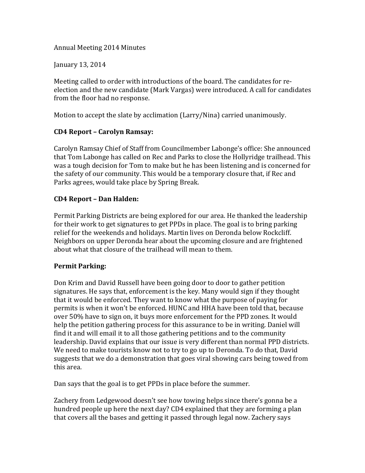Annual Meeting 2014 Minutes

January 13, 2014

Meeting called to order with introductions of the board. The candidates for reelection and the new candidate (Mark Vargas) were introduced. A call for candidates from the floor had no response.

Motion to accept the slate by acclimation (Larry/Nina) carried unanimously.

### **CD4 Report – Carolyn Ramsay:**

Carolyn Ramsay Chief of Staff from Councilmember Labonge's office: She announced that Tom Labonge has called on Rec and Parks to close the Hollyridge trailhead. This was a tough decision for Tom to make but he has been listening and is concerned for the safety of our community. This would be a temporary closure that, if Rec and Parks agrees, would take place by Spring Break.

### **CD4 Report – Dan Halden:**

Permit Parking Districts are being explored for our area. He thanked the leadership for their work to get signatures to get PPDs in place. The goal is to bring parking relief for the weekends and holidays. Martin lives on Deronda below Rockcliff. Neighbors on upper Deronda hear about the upcoming closure and are frightened about what that closure of the trailhead will mean to them.

# **Permit Parking:**

Don Krim and David Russell have been going door to door to gather petition signatures. He says that, enforcement is the key. Many would sign if they thought that it would be enforced. They want to know what the purpose of paying for permits is when it won't be enforced. HUNC and HHA have been told that, because over 50% have to sign on, it buys more enforcement for the PPD zones. It would help the petition gathering process for this assurance to be in writing. Daniel will find it and will email it to all those gathering petitions and to the community leadership. David explains that our issue is very different than normal PPD districts. We need to make tourists know not to try to go up to Deronda. To do that, David suggests that we do a demonstration that goes viral showing cars being towed from this area.

Dan says that the goal is to get PPDs in place before the summer.

Zachery from Ledgewood doesn't see how towing helps since there's gonna be a hundred people up here the next day? CD4 explained that they are forming a plan that covers all the bases and getting it passed through legal now. Zachery says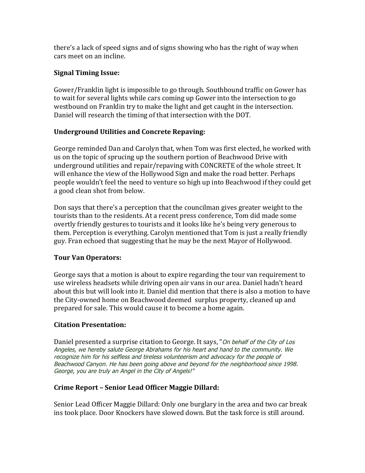there's a lack of speed signs and of signs showing who has the right of way when cars meet on an incline.

### **Signal Timing Issue:**

Gower/Franklin light is impossible to go through. Southbound traffic on Gower has to wait for several lights while cars coming up Gower into the intersection to go westbound on Franklin try to make the light and get caught in the intersection. Daniel will research the timing of that intersection with the DOT.

# **Underground Utilities and Concrete Repaving:**

George reminded Dan and Carolyn that, when Tom was first elected, he worked with us on the topic of sprucing up the southern portion of Beachwood Drive with underground utilities and repair/repaving with CONCRETE of the whole street. It will enhance the view of the Hollywood Sign and make the road better. Perhaps people wouldn't feel the need to venture so high up into Beachwood if they could get a good clean shot from below.

Don says that there's a perception that the councilman gives greater weight to the tourists than to the residents. At a recent press conference, Tom did made some overtly friendly gestures to tourists and it looks like he's being very generous to them. Perception is everything. Carolyn mentioned that Tom is just a really friendly guy. Fran echoed that suggesting that he may be the next Mayor of Hollywood.

# **Tour Van Operators:**

George says that a motion is about to expire regarding the tour van requirement to use wireless headsets while driving open air vans in our area. Daniel hadn't heard about this but will look into it. Daniel did mention that there is also a motion to have the City-owned home on Beachwood deemed surplus property, cleaned up and prepared for sale. This would cause it to become a home again.

# **Citation Presentation:**

Daniel presented a surprise citation to George. It says, "On behalf of the City of Los Angeles, we hereby salute George Abrahams for his heart and hand to the community. We recognize him for his selfless and tireless volunteerism and advocacy for the people of Beachwood Canyon. He has been going above and beyond for the neighborhood since 1998. George, you are truly an Angel in the City of Angels!"

# **Crime Report – Senior Lead Officer Maggie Dillard:**

Senior Lead Officer Maggie Dillard: Only one burglary in the area and two car break ins took place. Door Knockers have slowed down. But the task force is still around.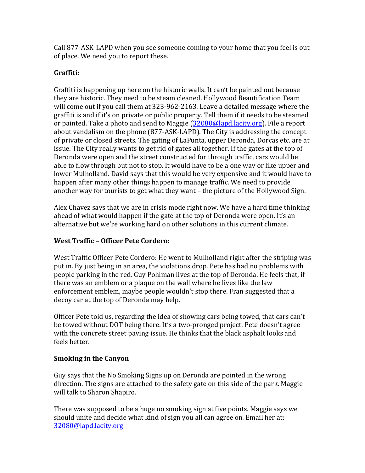Call 877-ASK-LAPD when you see someone coming to your home that you feel is out of place. We need you to report these.

# **Graffiti:**

Graffiti is happening up here on the historic walls. It can't be painted out because they are historic. They need to be steam cleaned. Hollywood Beautification Team will come out if you call them at  $323-962-2163$ . Leave a detailed message where the graffiti is and if it's on private or public property. Tell them if it needs to be steamed or painted. Take a photo and send to Maggie  $(32080@$ lapd.lacity.org). File a report about vandalism on the phone (877-ASK-LAPD). The City is addressing the concept of private or closed streets. The gating of LaPunta, upper Deronda, Dorcas etc. are at issue. The City really wants to get rid of gates all together. If the gates at the top of Deronda were open and the street constructed for through traffic, cars would be able to flow through but not to stop. It would have to be a one way or like upper and lower Mulholland. David says that this would be very expensive and it would have to happen after many other things happen to manage traffic. We need to provide another way for tourists to get what they want  $-$  the picture of the Hollywood Sign.

Alex Chavez says that we are in crisis mode right now. We have a hard time thinking ahead of what would happen if the gate at the top of Deronda were open. It's an alternative but we're working hard on other solutions in this current climate.

# **West Traffic – Officer Pete Cordero:**

West Traffic Officer Pete Cordero: He went to Mulholland right after the striping was put in. By just being in an area, the violations drop. Pete has had no problems with people parking in the red. Guy Pohlman lives at the top of Deronda. He feels that, if there was an emblem or a plaque on the wall where he lives like the law enforcement emblem, maybe people wouldn't stop there. Fran suggested that a decoy car at the top of Deronda may help.

Officer Pete told us, regarding the idea of showing cars being towed, that cars can't be towed without DOT being there. It's a two-pronged project. Pete doesn't agree with the concrete street paving issue. He thinks that the black asphalt looks and feels better.

#### **Smoking in the Canyon**

Guy says that the No Smoking Signs up on Deronda are pointed in the wrong direction. The signs are attached to the safety gate on this side of the park. Maggie will talk to Sharon Shapiro.

There was supposed to be a huge no smoking sign at five points. Maggie says we should unite and decide what kind of sign you all can agree on. Email her at: 32080@lapd.lacity.org